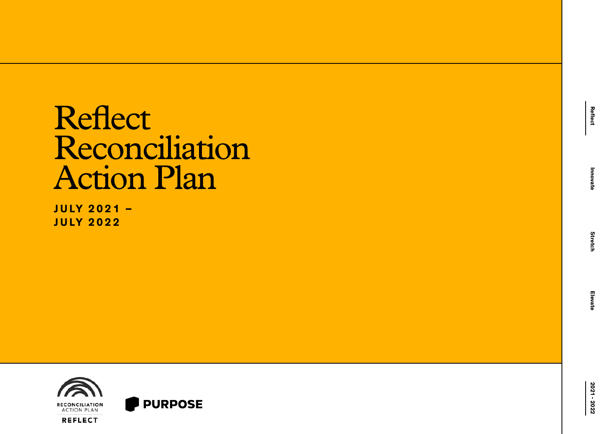# Reflect Reconciliation Action Plan

**J U LY 2 0 2 1 – JULY 2022**



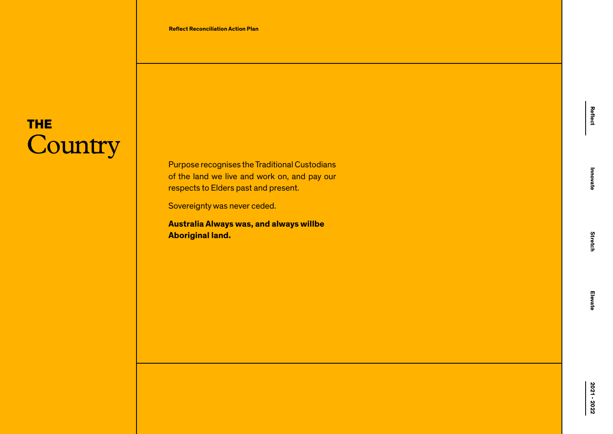#### **Country** THE

Purpose recognises the Traditional Custodians of the land we live and work on, and pay our respects to Elders past and present.

Sovereignty was never ceded.

**Australia Always was, and always willbe Aboriginal land.**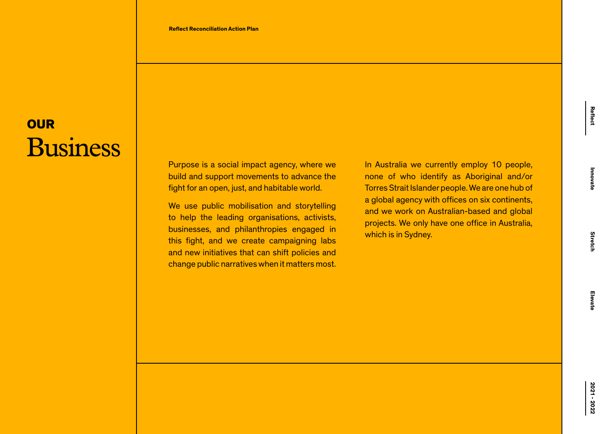**Reflect Reconciliation Action Plan**

#### Business **OUR**

Purpose is a social impact agency, where we build and support movements to advance the fight for an open, just, and habitable world.

We use public mobilisation and storytelling to help the leading organisations, activists, businesses, and philanthropies engaged in this fight, and we create campaigning labs and new initiatives that can shift policies and change public narratives when it matters most. In Australia we currently employ 10 people, none of who identify as Aboriginal and/or Torres Strait Islander people. We are one hub of a global agency with offices on six continents, and we work on Australian-based and global projects. We only have one office in Australia, which is in Sydney.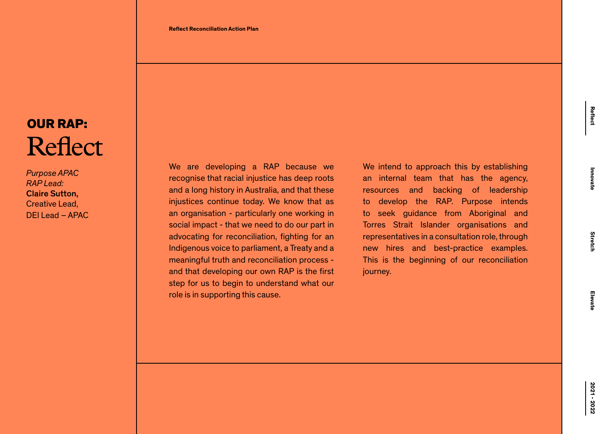#### Reflect OUR RAP:

*Purpose APAC RAP Lead:* Claire Sutton, Creative Lead,  $DFIL$ ead – APAC We are developing a RAP because we recognise that racial injustice has deep roots and a long history in Australia, and that these injustices continue today. We know that as an organisation - particularly one working in social impact - that we need to do our part in advocating for reconciliation, fighting for an Indigenous voice to parliament, a Treaty and a meaningful truth and reconciliation process and that developing our own RAP is the first step for us to begin to understand what our role is in supporting this cause.

We intend to approach this by establishing an internal team that has the agency, resources and backing of leadership to develop the RAP. Purpose intends to seek guidance from Aboriginal and Torres Strait Islander organisations and representatives in a consultation role, through new hires and best-practice examples. This is the beginning of our reconciliation journey.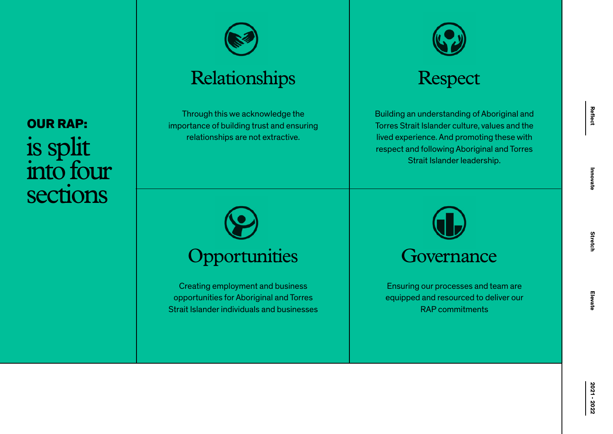## is split into four sections OUR RAP:



#### Relationships

Through this we acknowledge the importance of building trust and ensuring relationships are not extractive.



Creating employment and business opportunities for Aboriginal and Torres Strait Islander individuals and businesses



## Respect

Building an understanding of Aboriginal and Torres Strait Islander culture, values and the lived experience. And promoting these with respect and following Aboriginal and Torres Strait Islander leadership.



Ensuring our processes and team are equipped and resourced to deliver our RAP commitments

**Reflect**

**Innovate**

Innovate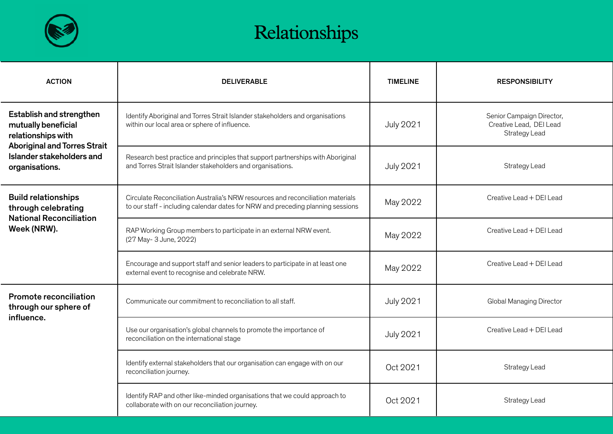

### Relationships

| <b>ACTION</b>                                                                                                                                                      | <b>DELIVERABLE</b>                                                                                                                                                 | <b>TIMELINE</b>  | <b>RESPONSIBILITY</b>                                                 |
|--------------------------------------------------------------------------------------------------------------------------------------------------------------------|--------------------------------------------------------------------------------------------------------------------------------------------------------------------|------------------|-----------------------------------------------------------------------|
| <b>Establish and strengthen</b><br>mutually beneficial<br>relationships with<br><b>Aboriginal and Torres Strait</b><br>Islander stakeholders and<br>organisations. | Identify Aboriginal and Torres Strait Islander stakeholders and organisations<br>within our local area or sphere of influence.                                     | <b>July 2021</b> | Senior Campaign Director,<br>Creative Lead, DEI Lead<br>Strategy Lead |
|                                                                                                                                                                    | Research best practice and principles that support partnerships with Aboriginal<br>and Torres Strait Islander stakeholders and organisations.                      | <b>July 2021</b> | <b>Strategy Lead</b>                                                  |
| <b>Build relationships</b><br>through celebrating<br><b>National Reconciliation</b><br>Week (NRW).                                                                 | Circulate Reconciliation Australia's NRW resources and reconciliation materials<br>to our staff - including calendar dates for NRW and preceding planning sessions | May 2022         | Creative Lead + DEI Lead                                              |
|                                                                                                                                                                    | RAP Working Group members to participate in an external NRW event.<br>(27 May- 3 June, 2022)                                                                       | May 2022         | Creative Lead + DEI Lead                                              |
|                                                                                                                                                                    | Encourage and support staff and senior leaders to participate in at least one<br>external event to recognise and celebrate NRW.                                    | May 2022         | Creative Lead + DEI Lead                                              |
| <b>Promote reconciliation</b><br>through our sphere of<br>influence.                                                                                               | Communicate our commitment to reconciliation to all staff.                                                                                                         | <b>July 2021</b> | <b>Global Managing Director</b>                                       |
|                                                                                                                                                                    | Use our organisation's global channels to promote the importance of<br>reconciliation on the international stage                                                   | <b>July 2021</b> | Creative Lead + DEI Lead                                              |
|                                                                                                                                                                    | Identify external stakeholders that our organisation can engage with on our<br>reconciliation journey.                                                             | Oct 2021         | <b>Strategy Lead</b>                                                  |
|                                                                                                                                                                    | Identify RAP and other like-minded organisations that we could approach to<br>collaborate with on our reconciliation journey.                                      | Oct 2021         | Strategy Lead                                                         |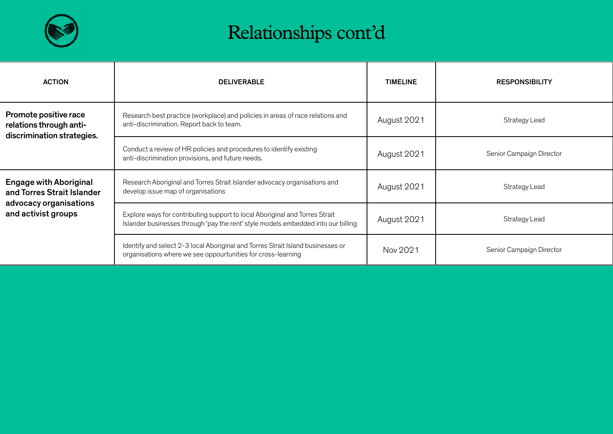

# Relationships cont'd

| <b>ACTION</b>                                                                                                | <b>DELIVERABLE</b>                                                                                                                                               | <b>TIMELINE</b> | <b>RESPONSIBILITY</b>    |
|--------------------------------------------------------------------------------------------------------------|------------------------------------------------------------------------------------------------------------------------------------------------------------------|-----------------|--------------------------|
| Promote positive race<br>relations through anti-<br>discrimination strategies.                               | Research best practice (workplace) and policies in areas of race relations and<br>anti-discrimination. Report back to team.                                      | August 2021     | <b>Strategy Lead</b>     |
|                                                                                                              | Conduct a review of HR policies and procedures to identify existing<br>anti-discrimination provisions, and future needs.                                         | August 2021     | Senior Campaign Director |
| <b>Engage with Aboriginal</b><br>and Torres Strait Islander<br>advocacy organisations<br>and activist groups | Research Aboriginal and Torres Strait Islander advocacy organisations and<br>develop issue map of organisations                                                  | August 2021     | <b>Strategy Lead</b>     |
|                                                                                                              | Explore ways for contributing support to local Aboriginal and Torres Strait<br>Islander businesses through 'pay the rent' style models embedded into our billing | August 2021     | <b>Strategy Lead</b>     |
|                                                                                                              | Identify and select 2-3 local Aboriginal and Torres Strait Island businesses or<br>organisations where we see oppourtunities for cross-learning                  | Nov 2021        | Senior Campaign Director |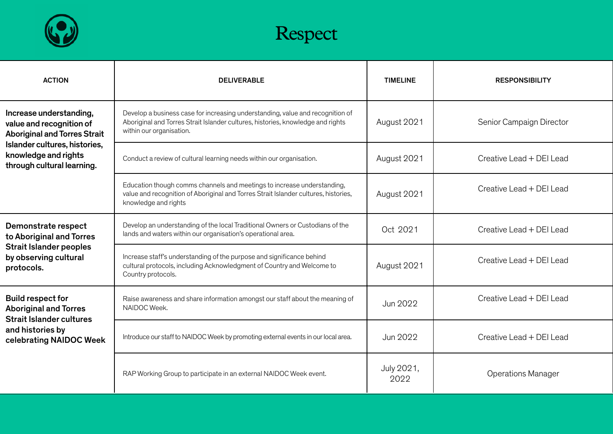



| <b>ACTION</b>                                                                                                                                                                     | <b>DELIVERABLE</b>                                                                                                                                                                            | <b>TIMELINE</b>    | <b>RESPONSIBILITY</b>     |
|-----------------------------------------------------------------------------------------------------------------------------------------------------------------------------------|-----------------------------------------------------------------------------------------------------------------------------------------------------------------------------------------------|--------------------|---------------------------|
| Increase understanding,<br>value and recognition of<br><b>Aboriginal and Torres Strait</b><br>Islander cultures, histories,<br>knowledge and rights<br>through cultural learning. | Develop a business case for increasing understanding, value and recognition of<br>Aboriginal and Torres Strait Islander cultures, histories, knowledge and rights<br>within our organisation. | August 2021        | Senior Campaign Director  |
|                                                                                                                                                                                   | Conduct a review of cultural learning needs within our organisation.                                                                                                                          | August 2021        | Creative Lead + DEI Lead  |
|                                                                                                                                                                                   | Education though comms channels and meetings to increase understanding,<br>value and recognition of Aboriginal and Torres Strait Islander cultures, histories,<br>knowledge and rights        | August 2021        | Creative Lead + DEI Lead  |
| Demonstrate respect<br>to Aboriginal and Torres<br><b>Strait Islander peoples</b><br>by observing cultural<br>protocols.                                                          | Develop an understanding of the local Traditional Owners or Custodians of the<br>lands and waters within our organisation's operational area.                                                 | Oct 2021           | Creative Lead + DEI Lead  |
|                                                                                                                                                                                   | Increase staff's understanding of the purpose and significance behind<br>cultural protocols, including Acknowledgment of Country and Welcome to<br>Country protocols.                         | August 2021        | Creative Lead + DEI Lead  |
| <b>Build respect for</b><br><b>Aboriginal and Torres</b><br><b>Strait Islander cultures</b><br>and histories by<br>celebrating NAIDOC Week                                        | Raise awareness and share information amongst our staff about the meaning of<br>NAIDOC Week.                                                                                                  | Jun 2022           | Creative Lead + DEI Lead  |
|                                                                                                                                                                                   | Introduce our staff to NAIDOC Week by promoting external events in our local area.                                                                                                            | Jun 2022           | Creative Lead + DEI Lead  |
|                                                                                                                                                                                   | RAP Working Group to participate in an external NAIDOC Week event.                                                                                                                            | July 2021,<br>2022 | <b>Operations Manager</b> |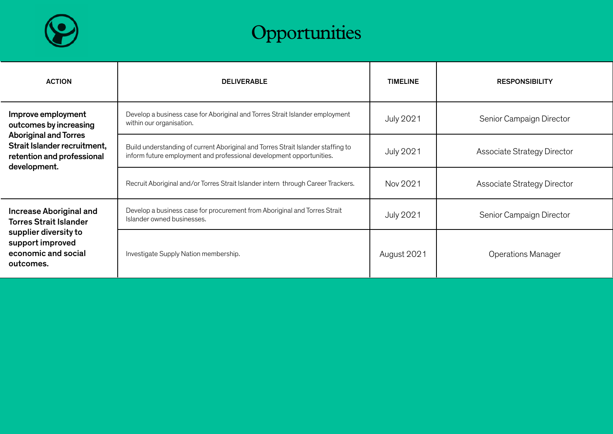

# Opportunities

| <b>ACTION</b>                                                                                                                                              | <b>DELIVERABLE</b>                                                                                                                                       | <b>TIMELINE</b>  | <b>RESPONSIBILITY</b>              |
|------------------------------------------------------------------------------------------------------------------------------------------------------------|----------------------------------------------------------------------------------------------------------------------------------------------------------|------------------|------------------------------------|
| Improve employment<br>outcomes by increasing<br><b>Aboriginal and Torres</b><br>Strait Islander recruitment,<br>retention and professional<br>development. | Develop a business case for Aboriginal and Torres Strait Islander employment<br>within our organisation.                                                 | <b>July 2021</b> | Senior Campaign Director           |
|                                                                                                                                                            | Build understanding of current Aboriginal and Torres Strait Islander staffing to<br>inform future employment and professional development opportunities. | <b>July 2021</b> | <b>Associate Strategy Director</b> |
|                                                                                                                                                            | Recruit Aboriginal and/or Torres Strait Islander intern through Career Trackers.                                                                         | Nov 2021         | <b>Associate Strategy Director</b> |
| <b>Increase Aboriginal and</b><br><b>Torres Strait Islander</b><br>supplier diversity to<br>support improved<br>economic and social<br>outcomes.           | Develop a business case for procurement from Aboriginal and Torres Strait<br>Islander owned businesses.                                                  | <b>July 2021</b> | Senior Campaign Director           |
|                                                                                                                                                            | Investigate Supply Nation membership.                                                                                                                    | August 2021      | <b>Operations Manager</b>          |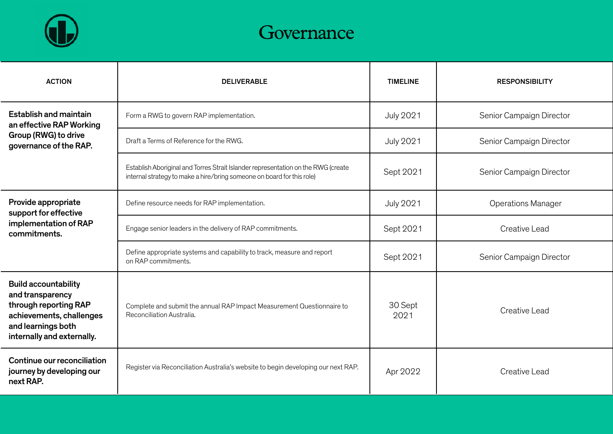

#### **Governance**

| <b>ACTION</b>                                                                                                                                            | <b>DELIVERABLE</b>                                                                                                                                          | <b>TIMELINE</b>  | <b>RESPONSIBILITY</b>     |
|----------------------------------------------------------------------------------------------------------------------------------------------------------|-------------------------------------------------------------------------------------------------------------------------------------------------------------|------------------|---------------------------|
| <b>Establish and maintain</b><br>an effective RAP Working<br>Group (RWG) to drive<br>governance of the RAP.                                              | Form a RWG to govern RAP implementation.                                                                                                                    | <b>July 2021</b> | Senior Campaign Director  |
|                                                                                                                                                          | Draft a Terms of Reference for the RWG.                                                                                                                     | <b>July 2021</b> | Senior Campaign Director  |
|                                                                                                                                                          | Establish Aboriginal and Torres Strait Islander representation on the RWG (create<br>internal strategy to make a hire/bring someone on board for this role) | Sept 2021        | Senior Campaign Director  |
| Provide appropriate<br>support for effective<br>implementation of RAP<br>commitments.                                                                    | Define resource needs for RAP implementation.                                                                                                               | <b>July 2021</b> | <b>Operations Manager</b> |
|                                                                                                                                                          | Engage senior leaders in the delivery of RAP commitments.                                                                                                   | Sept 2021        | <b>Creative Lead</b>      |
|                                                                                                                                                          | Define appropriate systems and capability to track, measure and report<br>on RAP commitments.                                                               | Sept 2021        | Senior Campaign Director  |
| <b>Build accountability</b><br>and transparency<br>through reporting RAP<br>achievements, challenges<br>and learnings both<br>internally and externally. | Complete and submit the annual RAP Impact Measurement Questionnaire to<br>Reconciliation Australia.                                                         | 30 Sept<br>2021  | Creative Lead             |
| Continue our reconciliation<br>journey by developing our<br>next RAP.                                                                                    | Register via Reconciliation Australia's website to begin developing our next RAP.                                                                           | Apr 2022         | <b>Creative Lead</b>      |